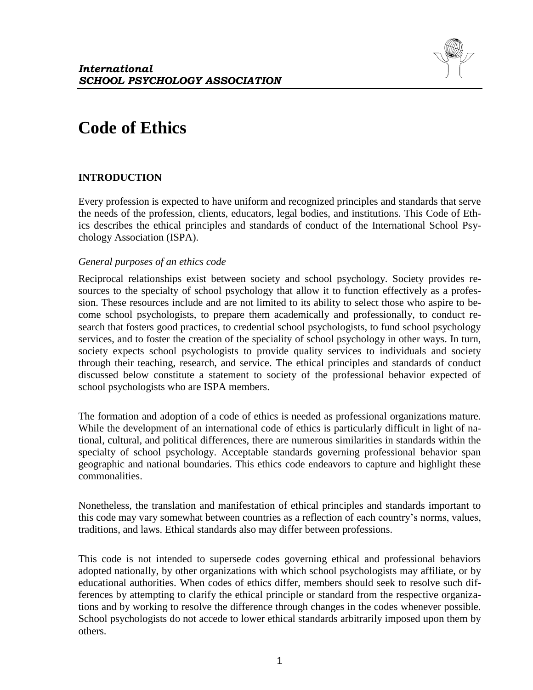

# **Code of Ethics**

# **INTRODUCTION**

Every profession is expected to have uniform and recognized principles and standards that serve the needs of the profession, clients, educators, legal bodies, and institutions. This Code of Ethics describes the ethical principles and standards of conduct of the International School Psychology Association (ISPA).

### *General purposes of an ethics code*

Reciprocal relationships exist between society and school psychology. Society provides resources to the specialty of school psychology that allow it to function effectively as a profession. These resources include and are not limited to its ability to select those who aspire to become school psychologists, to prepare them academically and professionally, to conduct research that fosters good practices, to credential school psychologists, to fund school psychology services, and to foster the creation of the speciality of school psychology in other ways. In turn, society expects school psychologists to provide quality services to individuals and society through their teaching, research, and service. The ethical principles and standards of conduct discussed below constitute a statement to society of the professional behavior expected of school psychologists who are ISPA members.

The formation and adoption of a code of ethics is needed as professional organizations mature. While the development of an international code of ethics is particularly difficult in light of national, cultural, and political differences, there are numerous similarities in standards within the specialty of school psychology. Acceptable standards governing professional behavior span geographic and national boundaries. This ethics code endeavors to capture and highlight these commonalities.

Nonetheless, the translation and manifestation of ethical principles and standards important to this code may vary somewhat between countries as a reflection of each country's norms, values, traditions, and laws. Ethical standards also may differ between professions.

This code is not intended to supersede codes governing ethical and professional behaviors adopted nationally, by other organizations with which school psychologists may affiliate, or by educational authorities. When codes of ethics differ, members should seek to resolve such differences by attempting to clarify the ethical principle or standard from the respective organizations and by working to resolve the difference through changes in the codes whenever possible. School psychologists do not accede to lower ethical standards arbitrarily imposed upon them by others.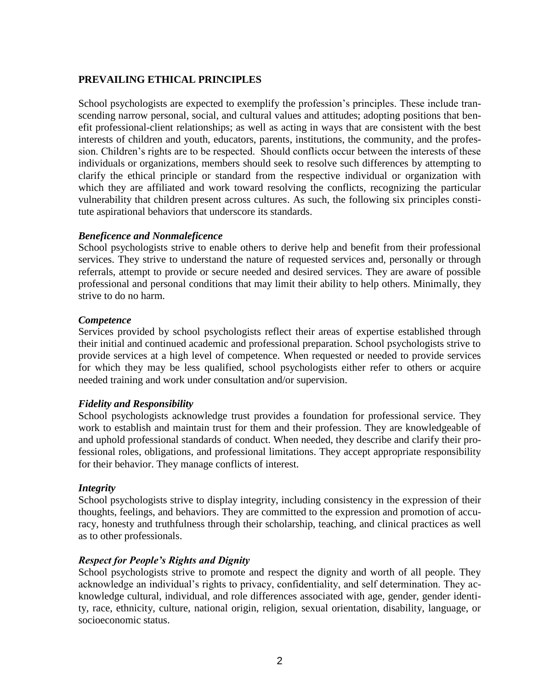# **PREVAILING ETHICAL PRINCIPLES**

School psychologists are expected to exemplify the profession's principles. These include transcending narrow personal, social, and cultural values and attitudes; adopting positions that benefit professional-client relationships; as well as acting in ways that are consistent with the best interests of children and youth, educators, parents, institutions, the community, and the profession. Children's rights are to be respected. Should conflicts occur between the interests of these individuals or organizations, members should seek to resolve such differences by attempting to clarify the ethical principle or standard from the respective individual or organization with which they are affiliated and work toward resolving the conflicts, recognizing the particular vulnerability that children present across cultures. As such, the following six principles constitute aspirational behaviors that underscore its standards.

### *Beneficence and Nonmaleficence*

School psychologists strive to enable others to derive help and benefit from their professional services. They strive to understand the nature of requested services and, personally or through referrals, attempt to provide or secure needed and desired services. They are aware of possible professional and personal conditions that may limit their ability to help others. Minimally, they strive to do no harm.

#### *Competence*

Services provided by school psychologists reflect their areas of expertise established through their initial and continued academic and professional preparation. School psychologists strive to provide services at a high level of competence. When requested or needed to provide services for which they may be less qualified, school psychologists either refer to others or acquire needed training and work under consultation and/or supervision.

#### *Fidelity and Responsibility*

School psychologists acknowledge trust provides a foundation for professional service. They work to establish and maintain trust for them and their profession. They are knowledgeable of and uphold professional standards of conduct. When needed, they describe and clarify their professional roles, obligations, and professional limitations. They accept appropriate responsibility for their behavior. They manage conflicts of interest.

#### *Integrity*

School psychologists strive to display integrity, including consistency in the expression of their thoughts, feelings, and behaviors. They are committed to the expression and promotion of accuracy, honesty and truthfulness through their scholarship, teaching, and clinical practices as well as to other professionals.

#### *Respect for People's Rights and Dignity*

School psychologists strive to promote and respect the dignity and worth of all people. They acknowledge an individual's rights to privacy, confidentiality, and self determination. They acknowledge cultural, individual, and role differences associated with age, gender, gender identity, race, ethnicity, culture, national origin, religion, sexual orientation, disability, language, or socioeconomic status.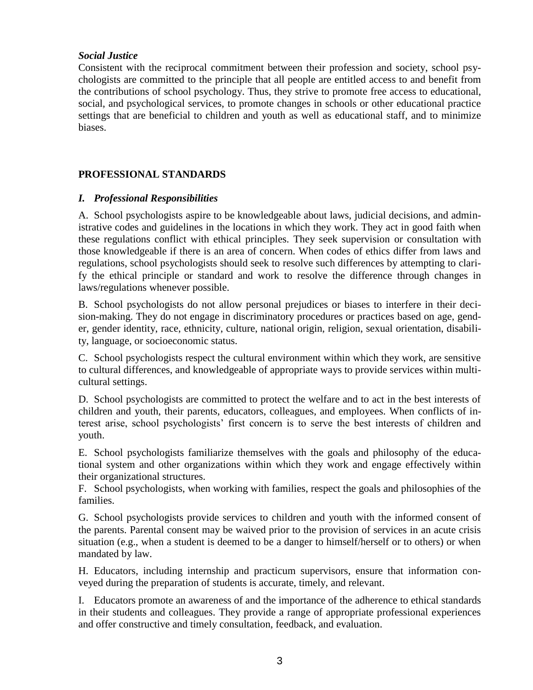# *Social Justice*

Consistent with the reciprocal commitment between their profession and society, school psychologists are committed to the principle that all people are entitled access to and benefit from the contributions of school psychology. Thus, they strive to promote free access to educational, social, and psychological services, to promote changes in schools or other educational practice settings that are beneficial to children and youth as well as educational staff, and to minimize biases.

# **PROFESSIONAL STANDARDS**

# *I. Professional Responsibilities*

A. School psychologists aspire to be knowledgeable about laws, judicial decisions, and administrative codes and guidelines in the locations in which they work. They act in good faith when these regulations conflict with ethical principles. They seek supervision or consultation with those knowledgeable if there is an area of concern. When codes of ethics differ from laws and regulations, school psychologists should seek to resolve such differences by attempting to clarify the ethical principle or standard and work to resolve the difference through changes in laws/regulations whenever possible.

B. School psychologists do not allow personal prejudices or biases to interfere in their decision-making. They do not engage in discriminatory procedures or practices based on age, gender, gender identity, race, ethnicity, culture, national origin, religion, sexual orientation, disability, language, or socioeconomic status.

C. School psychologists respect the cultural environment within which they work, are sensitive to cultural differences, and knowledgeable of appropriate ways to provide services within multicultural settings.

D. School psychologists are committed to protect the welfare and to act in the best interests of children and youth, their parents, educators, colleagues, and employees. When conflicts of interest arise, school psychologists' first concern is to serve the best interests of children and youth.

E. School psychologists familiarize themselves with the goals and philosophy of the educational system and other organizations within which they work and engage effectively within their organizational structures.

F. School psychologists, when working with families, respect the goals and philosophies of the families.

G. School psychologists provide services to children and youth with the informed consent of the parents. Parental consent may be waived prior to the provision of services in an acute crisis situation (e.g., when a student is deemed to be a danger to himself/herself or to others) or when mandated by law.

H. Educators, including internship and practicum supervisors, ensure that information conveyed during the preparation of students is accurate, timely, and relevant.

I. Educators promote an awareness of and the importance of the adherence to ethical standards in their students and colleagues. They provide a range of appropriate professional experiences and offer constructive and timely consultation, feedback, and evaluation.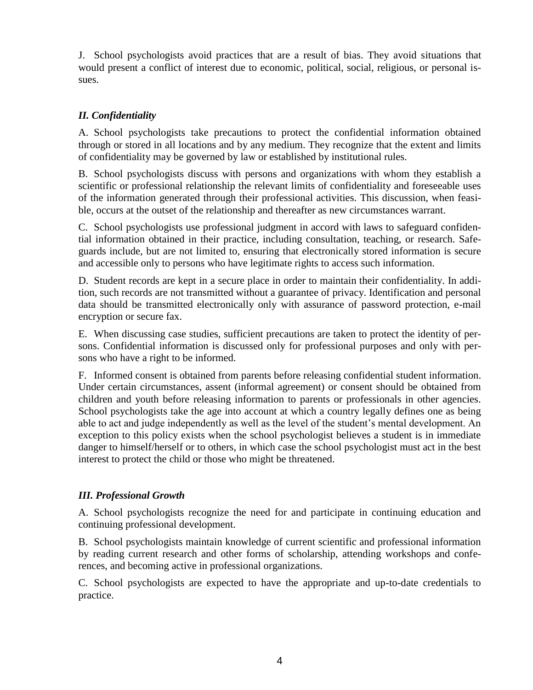J. School psychologists avoid practices that are a result of bias. They avoid situations that would present a conflict of interest due to economic, political, social, religious, or personal issues.

# *II. Confidentiality*

A. School psychologists take precautions to protect the confidential information obtained through or stored in all locations and by any medium. They recognize that the extent and limits of confidentiality may be governed by law or established by institutional rules.

B. School psychologists discuss with persons and organizations with whom they establish a scientific or professional relationship the relevant limits of confidentiality and foreseeable uses of the information generated through their professional activities. This discussion, when feasible, occurs at the outset of the relationship and thereafter as new circumstances warrant.

C. School psychologists use professional judgment in accord with laws to safeguard confidential information obtained in their practice, including consultation, teaching, or research. Safeguards include, but are not limited to, ensuring that electronically stored information is secure and accessible only to persons who have legitimate rights to access such information.

D. Student records are kept in a secure place in order to maintain their confidentiality. In addition, such records are not transmitted without a guarantee of privacy. Identification and personal data should be transmitted electronically only with assurance of password protection, e-mail encryption or secure fax.

E. When discussing case studies, sufficient precautions are taken to protect the identity of persons. Confidential information is discussed only for professional purposes and only with persons who have a right to be informed.

F. Informed consent is obtained from parents before releasing confidential student information. Under certain circumstances, assent (informal agreement) or consent should be obtained from children and youth before releasing information to parents or professionals in other agencies. School psychologists take the age into account at which a country legally defines one as being able to act and judge independently as well as the level of the student's mental development. An exception to this policy exists when the school psychologist believes a student is in immediate danger to himself/herself or to others, in which case the school psychologist must act in the best interest to protect the child or those who might be threatened.

# *III. Professional Growth*

A. School psychologists recognize the need for and participate in continuing education and continuing professional development.

B. School psychologists maintain knowledge of current scientific and professional information by reading current research and other forms of scholarship, attending workshops and conferences, and becoming active in professional organizations.

C. School psychologists are expected to have the appropriate and up-to-date credentials to practice.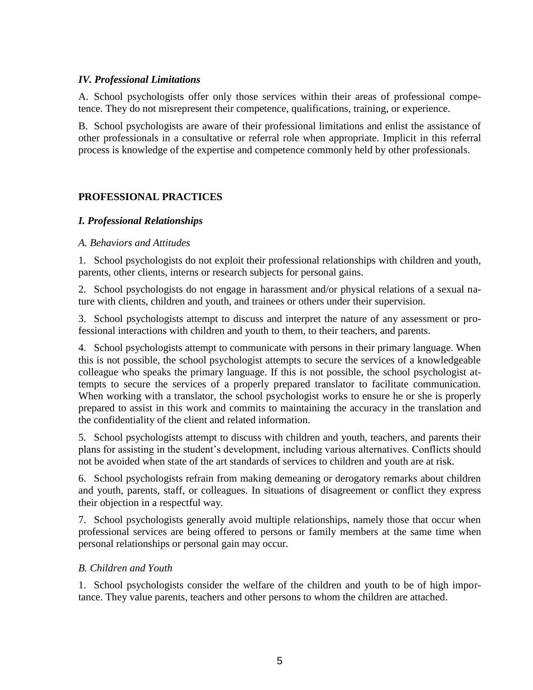### *IV. Professional Limitations*

A. School psychologists offer only those services within their areas of professional competence. They do not misrepresent their competence, qualifications, training, or experience.

B. School psychologists are aware of their professional limitations and enlist the assistance of other professionals in a consultative or referral role when appropriate. Implicit in this referral process is knowledge of the expertise and competence commonly held by other professionals.

# **PROFESSIONAL PRACTICES**

# *I. Professional Relationships*

#### *A. Behaviors and Attitudes*

1. School psychologists do not exploit their professional relationships with children and youth, parents, other clients, interns or research subjects for personal gains.

2. School psychologists do not engage in harassment and/or physical relations of a sexual nature with clients, children and youth, and trainees or others under their supervision.

3. School psychologists attempt to discuss and interpret the nature of any assessment or professional interactions with children and youth to them, to their teachers, and parents.

4. School psychologists attempt to communicate with persons in their primary language. When this is not possible, the school psychologist attempts to secure the services of a knowledgeable colleague who speaks the primary language. If this is not possible, the school psychologist attempts to secure the services of a properly prepared translator to facilitate communication. When working with a translator, the school psychologist works to ensure he or she is properly prepared to assist in this work and commits to maintaining the accuracy in the translation and the confidentiality of the client and related information.

5. School psychologists attempt to discuss with children and youth, teachers, and parents their plans for assisting in the student's development, including various alternatives. Conflicts should not be avoided when state of the art standards of services to children and youth are at risk.

6. School psychologists refrain from making demeaning or derogatory remarks about children and youth, parents, staff, or colleagues. In situations of disagreement or conflict they express their objection in a respectful way.

7. School psychologists generally avoid multiple relationships, namely those that occur when professional services are being offered to persons or family members at the same time when personal relationships or personal gain may occur.

# *B. Children and Youth*

1. School psychologists consider the welfare of the children and youth to be of high importance. They value parents, teachers and other persons to whom the children are attached.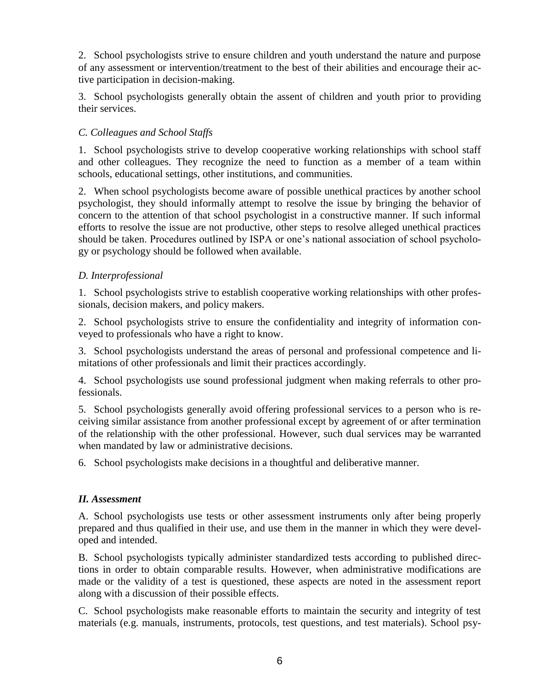2. School psychologists strive to ensure children and youth understand the nature and purpose of any assessment or intervention/treatment to the best of their abilities and encourage their active participation in decision-making.

3. School psychologists generally obtain the assent of children and youth prior to providing their services.

# *C. Colleagues and School Staffs*

1. School psychologists strive to develop cooperative working relationships with school staff and other colleagues. They recognize the need to function as a member of a team within schools, educational settings, other institutions, and communities.

2. When school psychologists become aware of possible unethical practices by another school psychologist, they should informally attempt to resolve the issue by bringing the behavior of concern to the attention of that school psychologist in a constructive manner. If such informal efforts to resolve the issue are not productive, other steps to resolve alleged unethical practices should be taken. Procedures outlined by ISPA or one's national association of school psychology or psychology should be followed when available.

# *D. Interprofessional*

1. School psychologists strive to establish cooperative working relationships with other professionals, decision makers, and policy makers.

2. School psychologists strive to ensure the confidentiality and integrity of information conveyed to professionals who have a right to know.

3. School psychologists understand the areas of personal and professional competence and limitations of other professionals and limit their practices accordingly.

4. School psychologists use sound professional judgment when making referrals to other professionals.

5. School psychologists generally avoid offering professional services to a person who is receiving similar assistance from another professional except by agreement of or after termination of the relationship with the other professional. However, such dual services may be warranted when mandated by law or administrative decisions.

6. School psychologists make decisions in a thoughtful and deliberative manner.

# *II. Assessment*

A. School psychologists use tests or other assessment instruments only after being properly prepared and thus qualified in their use, and use them in the manner in which they were developed and intended.

B. School psychologists typically administer standardized tests according to published directions in order to obtain comparable results. However, when administrative modifications are made or the validity of a test is questioned, these aspects are noted in the assessment report along with a discussion of their possible effects.

C. School psychologists make reasonable efforts to maintain the security and integrity of test materials (e.g. manuals, instruments, protocols, test questions, and test materials). School psy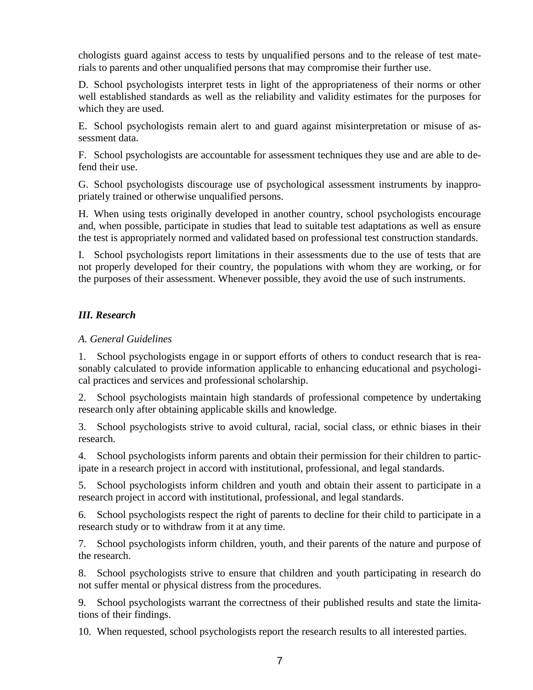chologists guard against access to tests by unqualified persons and to the release of test materials to parents and other unqualified persons that may compromise their further use.

D. School psychologists interpret tests in light of the appropriateness of their norms or other well established standards as well as the reliability and validity estimates for the purposes for which they are used.

E. School psychologists remain alert to and guard against misinterpretation or misuse of assessment data.

F. School psychologists are accountable for assessment techniques they use and are able to defend their use.

G. School psychologists discourage use of psychological assessment instruments by inappropriately trained or otherwise unqualified persons.

H. When using tests originally developed in another country, school psychologists encourage and, when possible, participate in studies that lead to suitable test adaptations as well as ensure the test is appropriately normed and validated based on professional test construction standards.

I. School psychologists report limitations in their assessments due to the use of tests that are not properly developed for their country, the populations with whom they are working, or for the purposes of their assessment. Whenever possible, they avoid the use of such instruments.

# *III. Research*

# *A. General Guidelines*

1. School psychologists engage in or support efforts of others to conduct research that is reasonably calculated to provide information applicable to enhancing educational and psychological practices and services and professional scholarship.

2. School psychologists maintain high standards of professional competence by undertaking research only after obtaining applicable skills and knowledge.

3. School psychologists strive to avoid cultural, racial, social class, or ethnic biases in their research.

4. School psychologists inform parents and obtain their permission for their children to participate in a research project in accord with institutional, professional, and legal standards.

5. School psychologists inform children and youth and obtain their assent to participate in a research project in accord with institutional, professional, and legal standards.

6. School psychologists respect the right of parents to decline for their child to participate in a research study or to withdraw from it at any time.

7. School psychologists inform children, youth, and their parents of the nature and purpose of the research.

8. School psychologists strive to ensure that children and youth participating in research do not suffer mental or physical distress from the procedures.

9. School psychologists warrant the correctness of their published results and state the limitations of their findings.

10. When requested, school psychologists report the research results to all interested parties.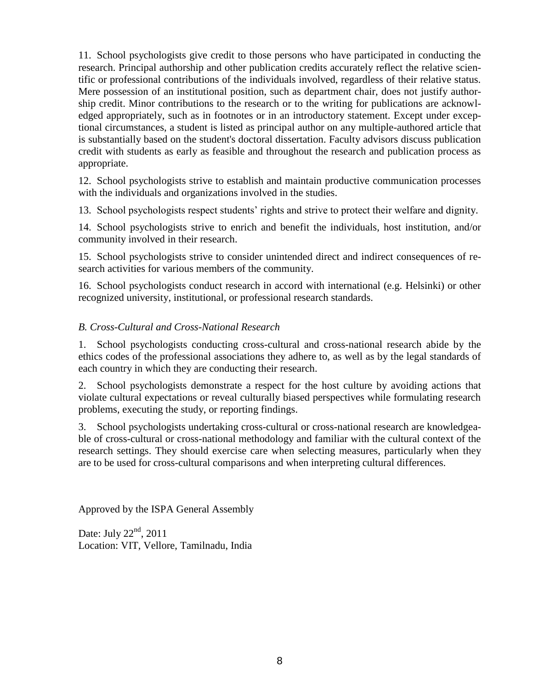11. School psychologists give credit to those persons who have participated in conducting the research. Principal authorship and other publication credits accurately reflect the relative scientific or professional contributions of the individuals involved, regardless of their relative status. Mere possession of an institutional position, such as department chair, does not justify authorship credit. Minor contributions to the research or to the writing for publications are acknowledged appropriately, such as in footnotes or in an introductory statement. Except under exceptional circumstances, a student is listed as principal author on any multiple-authored article that is substantially based on the student's doctoral dissertation. Faculty advisors discuss publication credit with students as early as feasible and throughout the research and publication process as appropriate.

12. School psychologists strive to establish and maintain productive communication processes with the individuals and organizations involved in the studies.

13. School psychologists respect students' rights and strive to protect their welfare and dignity.

14. School psychologists strive to enrich and benefit the individuals, host institution, and/or community involved in their research.

15. School psychologists strive to consider unintended direct and indirect consequences of research activities for various members of the community.

16. School psychologists conduct research in accord with international (e.g. Helsinki) or other recognized university, institutional, or professional research standards.

# *B. Cross-Cultural and Cross-National Research*

1. School psychologists conducting cross-cultural and cross-national research abide by the ethics codes of the professional associations they adhere to, as well as by the legal standards of each country in which they are conducting their research.

2. School psychologists demonstrate a respect for the host culture by avoiding actions that violate cultural expectations or reveal culturally biased perspectives while formulating research problems, executing the study, or reporting findings.

3. School psychologists undertaking cross-cultural or cross-national research are knowledgeable of cross-cultural or cross-national methodology and familiar with the cultural context of the research settings. They should exercise care when selecting measures, particularly when they are to be used for cross-cultural comparisons and when interpreting cultural differences.

Approved by the ISPA General Assembly

Date: July  $22<sup>nd</sup>$ , 2011 Location: VIT, Vellore, Tamilnadu, India